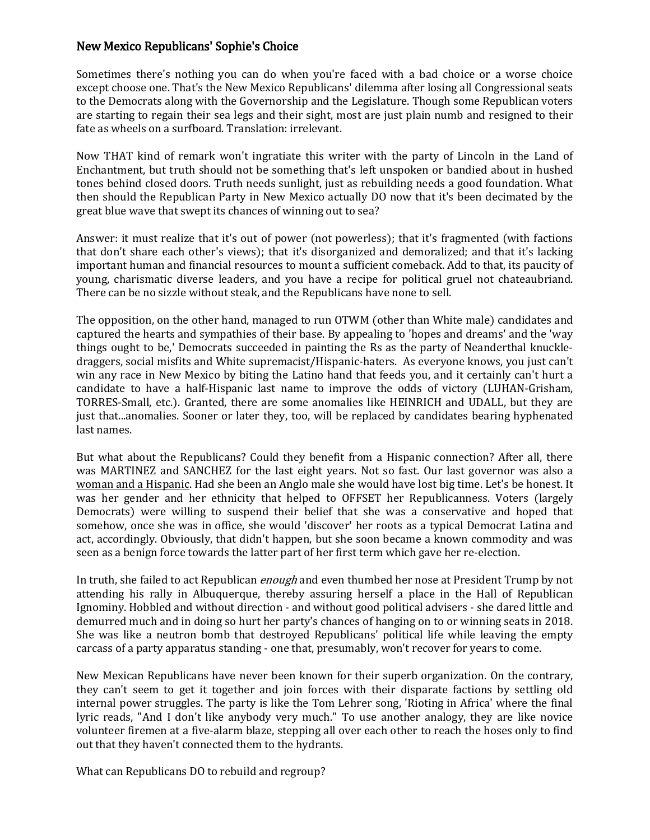## New Mexico Republicans' Sophie's Choice

Sometimes there's nothing you can do when you're faced with a bad choice or a worse choice except choose one. That's the New Mexico Republicans' dilemma after losing all Congressional seats to the Democrats along with the Governorship and the Legislature. Though some Republican voters are starting to regain their sea legs and their sight, most are just plain numb and resigned to their fate as wheels on a surfboard. Translation: irrelevant.

Now THAT kind of remark won't ingratiate this writer with the party of Lincoln in the Land of Enchantment, but truth should not be something that's left unspoken or bandied about in hushed tones behind closed doors. Truth needs sunlight, just as rebuilding needs a good foundation. What then should the Republican Party in New Mexico actually DO now that it's been decimated by the great blue wave that swept its chances of winning out to sea?

Answer: it must realize that it's out of power (not powerless); that it's fragmented (with factions that don't share each other's views); that it's disorganized and demoralized; and that it's lacking important human and financial resources to mount a sufficient comeback. Add to that, its paucity of young, charismatic diverse leaders, and you have a recipe for political gruel not chateaubriand. There can be no sizzle without steak, and the Republicans have none to sell.

The opposition, on the other hand, managed to run OTWM (other than White male) candidates and captured the hearts and sympathies of their base. By appealing to 'hopes and dreams' and the 'way things ought to be,' Democrats succeeded in painting the Rs as the party of Neanderthal knuckledraggers, social misfits and White supremacist/Hispanic-haters. As everyone knows, you just can't win any race in New Mexico by biting the Latino hand that feeds you, and it certainly can't hurt a candidate to have a half-Hispanic last name to improve the odds of victory (LUHAN-Grisham, TORRES-Small, etc.). Granted, there are some anomalies like HEINRICH and UDALL, but they are just that...anomalies. Sooner or later they, too, will be replaced by candidates bearing hyphenated last names.

But what about the Republicans? Could they benefit from a Hispanic connection? After all, there was MARTINEZ and SANCHEZ for the last eight years. Not so fast. Our last governor was also a woman and a Hispanic. Had she been an Anglo male she would have lost big time. Let's be honest. It was her gender and her ethnicity that helped to OFFSET her Republicanness. Voters (largely Democrats) were willing to suspend their belief that she was a conservative and hoped that somehow, once she was in office, she would 'discover' her roots as a typical Democrat Latina and act, accordingly. Obviously, that didn't happen, but she soon became a known commodity and was seen as a benign force towards the latter part of her first term which gave her re-election.

In truth, she failed to act Republican *enough* and even thumbed her nose at President Trump by not attending his rally in Albuquerque, thereby assuring herself a place in the Hall of Republican Ignominy. Hobbled and without direction - and without good political advisers - she dared little and demurred much and in doing so hurt her party's chances of hanging on to or winning seats in 2018. She was like a neutron bomb that destroyed Republicans' political life while leaving the empty carcass of a party apparatus standing - one that, presumably, won't recover for years to come.

New Mexican Republicans have never been known for their superb organization. On the contrary, they can't seem to get it together and join forces with their disparate factions by settling old internal power struggles. The party is like the Tom Lehrer song, 'Rioting in Africa' where the final lyric reads, "And I don't like anybody very much." To use another analogy, they are like novice volunteer firemen at a five-alarm blaze, stepping all over each other to reach the hoses only to find out that they haven't connected them to the hydrants.

What can Republicans DO to rebuild and regroup?